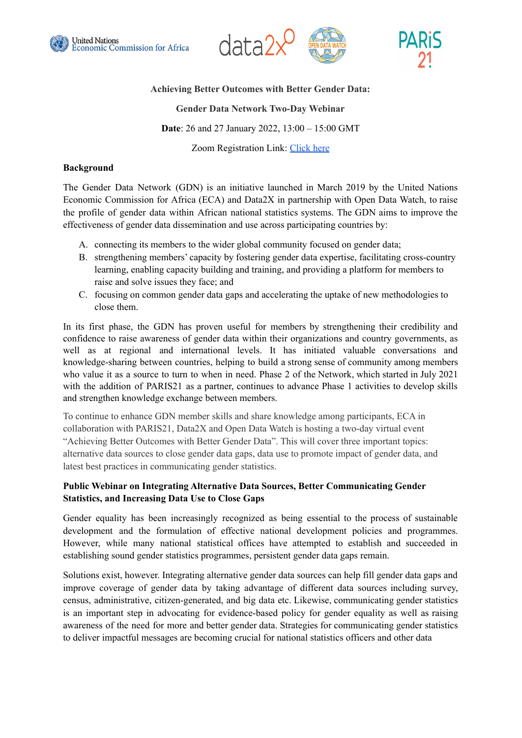





## **Achieving Better Outcomes with Better Gender Data:**

# **Gender Data Network Two-Day Webinar**

**Date**: 26 and 27 January 2022, 13:00 – 15:00 GMT

Zoom Registration Link: [Click](https://us06web.zoom.us/webinar/register/WN_oF1aFcjVROO8NcHgA4asug) here

#### **Background**

The Gender Data Network (GDN) is an initiative launched in March 2019 by the United Nations Economic Commission for Africa (ECA) and Data2X in partnership with Open Data Watch, to raise the profile of gender data within African national statistics systems. The GDN aims to improve the effectiveness of gender data dissemination and use across participating countries by:

- A. connecting its members to the wider global community focused on gender data;
- B. strengthening members' capacity by fostering gender data expertise, facilitating cross-country learning, enabling capacity building and training, and providing a platform for members to raise and solve issues they face; and
- C. focusing on common gender data gaps and accelerating the uptake of new methodologies to close them.

In its first phase, the GDN has proven useful for members by strengthening their credibility and confidence to raise awareness of gender data within their organizations and country governments, as well as at regional and international levels. It has initiated valuable conversations and knowledge-sharing between countries, helping to build a strong sense of community among members who value it as a source to turn to when in need. Phase 2 of the Network, which started in July 2021 with the addition of PARIS21 as a partner, continues to advance Phase 1 activities to develop skills and strengthen knowledge exchange between members.

To continue to enhance GDN member skills and share knowledge among participants, ECA in collaboration with PARIS21, Data2X and Open Data Watch is hosting a two-day virtual event "Achieving Better Outcomes with Better Gender Data". This will cover three important topics: alternative data sources to close gender data gaps, data use to promote impact of gender data, and latest best practices in communicating gender statistics.

# **Public Webinar on Integrating Alternative Data Sources, Better Communicating Gender Statistics, and Increasing Data Use to Close Gaps**

Gender equality has been increasingly recognized as being essential to the process of sustainable development and the formulation of effective national development policies and programmes. However, while many national statistical offices have attempted to establish and succeeded in establishing sound gender statistics programmes, persistent gender data gaps remain.

Solutions exist, however. Integrating alternative gender data sources can help fill gender data gaps and improve coverage of gender data by taking advantage of different data sources including survey, census, administrative, citizen-generated, and big data etc. Likewise, communicating gender statistics is an important step in advocating for evidence-based policy for gender equality as well as raising awareness of the need for more and better gender data. Strategies for communicating gender statistics to deliver impactful messages are becoming crucial for national statistics officers and other data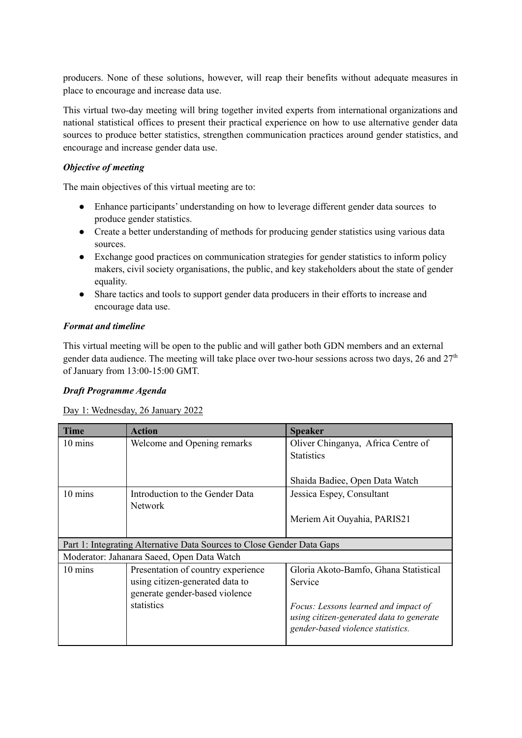producers. None of these solutions, however, will reap their benefits without adequate measures in place to encourage and increase data use.

This virtual two-day meeting will bring together invited experts from international organizations and national statistical offices to present their practical experience on how to use alternative gender data sources to produce better statistics, strengthen communication practices around gender statistics, and encourage and increase gender data use.

## *Objective of meeting*

The main objectives of this virtual meeting are to:

- Enhance participants' understanding on how to leverage different gender data sources to produce gender statistics.
- Create a better understanding of methods for producing gender statistics using various data sources.
- Exchange good practices on communication strategies for gender statistics to inform policy makers, civil society organisations, the public, and key stakeholders about the state of gender equality.
- Share tactics and tools to support gender data producers in their efforts to increase and encourage data use.

# *Format and timeline*

This virtual meeting will be open to the public and will gather both GDN members and an external gender data audience. The meeting will take place over two-hour sessions across two days, 26 and  $27<sup>th</sup>$ of January from 13:00-15:00 GMT.

## *Draft Programme Agenda*

## Day 1: Wednesday, 26 January 2022

| <b>Time</b>                                                            | Action                                     | <b>Speaker</b>                           |  |  |
|------------------------------------------------------------------------|--------------------------------------------|------------------------------------------|--|--|
| 10 mins                                                                | Welcome and Opening remarks                | Oliver Chinganya, Africa Centre of       |  |  |
|                                                                        |                                            | <b>Statistics</b>                        |  |  |
|                                                                        |                                            |                                          |  |  |
|                                                                        |                                            | Shaida Badiee, Open Data Watch           |  |  |
| 10 mins                                                                | Introduction to the Gender Data            | Jessica Espey, Consultant                |  |  |
|                                                                        | <b>Network</b>                             |                                          |  |  |
|                                                                        |                                            | Meriem Ait Ouyahia, PARIS21              |  |  |
|                                                                        |                                            |                                          |  |  |
| Part 1: Integrating Alternative Data Sources to Close Gender Data Gaps |                                            |                                          |  |  |
|                                                                        | Moderator: Jahanara Saeed, Open Data Watch |                                          |  |  |
| 10 mins                                                                | Presentation of country experience         | Gloria Akoto-Bamfo, Ghana Statistical    |  |  |
|                                                                        | using citizen-generated data to            | Service                                  |  |  |
|                                                                        | generate gender-based violence             |                                          |  |  |
|                                                                        | statistics                                 | Focus: Lessons learned and impact of     |  |  |
|                                                                        |                                            | using citizen-generated data to generate |  |  |
|                                                                        |                                            | gender-based violence statistics.        |  |  |
|                                                                        |                                            |                                          |  |  |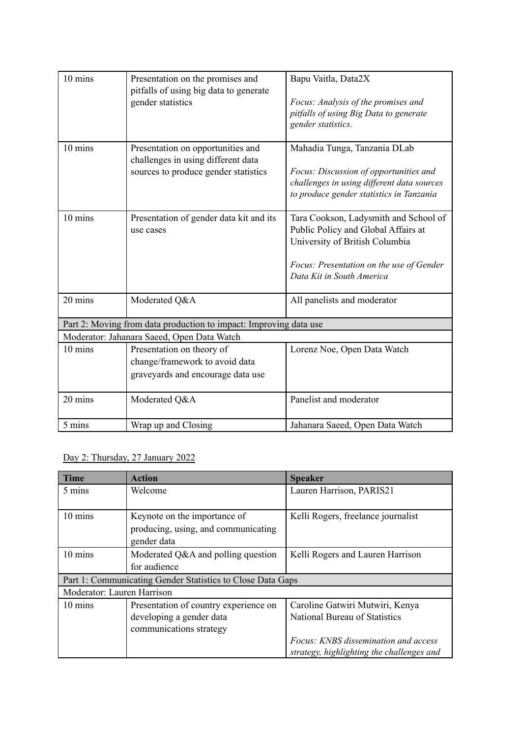| 10 mins                                                           | Presentation on the promises and<br>pitfalls of using big data to generate<br>gender statistics                 | Bapu Vaitla, Data2X<br>Focus: Analysis of the promises and<br>pitfalls of using Big Data to generate<br>gender statistics.                                                              |  |  |
|-------------------------------------------------------------------|-----------------------------------------------------------------------------------------------------------------|-----------------------------------------------------------------------------------------------------------------------------------------------------------------------------------------|--|--|
| 10 mins                                                           | Presentation on opportunities and<br>challenges in using different data<br>sources to produce gender statistics | Mahadia Tunga, Tanzania DLab<br>Focus: Discussion of opportunities and<br>challenges in using different data sources<br>to produce gender statistics in Tanzania                        |  |  |
| 10 mins                                                           | Presentation of gender data kit and its<br>use cases                                                            | Tara Cookson, Ladysmith and School of<br>Public Policy and Global Affairs at<br>University of British Columbia<br>Focus: Presentation on the use of Gender<br>Data Kit in South America |  |  |
| 20 mins                                                           | Moderated Q&A                                                                                                   | All panelists and moderator                                                                                                                                                             |  |  |
| Part 2: Moving from data production to impact: Improving data use |                                                                                                                 |                                                                                                                                                                                         |  |  |
|                                                                   | Moderator: Jahanara Saeed, Open Data Watch                                                                      |                                                                                                                                                                                         |  |  |
| 10 mins                                                           | Presentation on theory of<br>change/framework to avoid data<br>graveyards and encourage data use                | Lorenz Noe, Open Data Watch                                                                                                                                                             |  |  |
| 20 mins                                                           | Moderated Q&A                                                                                                   | Panelist and moderator                                                                                                                                                                  |  |  |
| 5 mins                                                            | Wrap up and Closing                                                                                             | Jahanara Saeed, Open Data Watch                                                                                                                                                         |  |  |

# Day 2: Thursday, 27 January 2022

| <b>Time</b>                                                | Action                                | <b>Speaker</b>                            |  |  |
|------------------------------------------------------------|---------------------------------------|-------------------------------------------|--|--|
| 5 mins                                                     | Welcome                               | Lauren Harrison, PARIS21                  |  |  |
|                                                            |                                       |                                           |  |  |
| 10 mins                                                    | Keynote on the importance of          | Kelli Rogers, freelance journalist        |  |  |
|                                                            | producing, using, and communicating   |                                           |  |  |
|                                                            | gender data                           |                                           |  |  |
| 10 mins                                                    | Moderated Q&A and polling question    | Kelli Rogers and Lauren Harrison          |  |  |
|                                                            | for audience                          |                                           |  |  |
| Part 1: Communicating Gender Statistics to Close Data Gaps |                                       |                                           |  |  |
| Moderator: Lauren Harrison                                 |                                       |                                           |  |  |
| 10 mins                                                    | Presentation of country experience on | Caroline Gatwiri Mutwiri, Kenya           |  |  |
|                                                            | developing a gender data              | National Bureau of Statistics             |  |  |
|                                                            | communications strategy               |                                           |  |  |
|                                                            |                                       | Focus: KNBS dissemination and access      |  |  |
|                                                            |                                       | strategy, highlighting the challenges and |  |  |